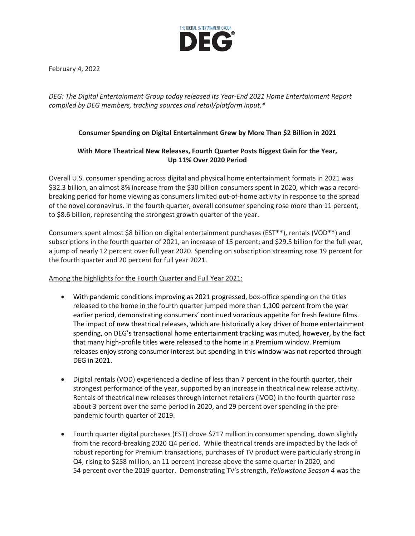

February 4, 2022

*DEG: The Digital Entertainment Group today released its Year-End 2021 Home Entertainment Report compiled by DEG members, tracking sources and retail/platform input.\**

# **Consumer Spending on Digital Entertainment Grew by More Than \$2 Billion in 2021**

# **With More Theatrical New Releases, Fourth Quarter Posts Biggest Gain for the Year, Up 11% Over 2020 Period**

Overall U.S. consumer spending across digital and physical home entertainment formats in 2021 was \$32.3 billion, an almost 8% increase from the \$30 billion consumers spent in 2020, which was a recordbreaking period for home viewing as consumers limited out-of-home activity in response to the spread of the novel coronavirus. In the fourth quarter, overall consumer spending rose more than 11 percent, to \$8.6 billion, representing the strongest growth quarter of the year.

Consumers spent almost \$8 billion on digital entertainment purchases (EST\*\*), rentals (VOD\*\*) and subscriptions in the fourth quarter of 2021, an increase of 15 percent; and \$29.5 billion for the full year, a jump of nearly 12 percent over full year 2020. Spending on subscription streaming rose 19 percent for the fourth quarter and 20 percent for full year 2021.

## Among the highlights for the Fourth Quarter and Full Year 2021:

- With pandemic conditions improving as 2021 progressed, box-office spending on the titles released to the home in the fourth quarter jumped more than 1,100 percent from the year earlier period, demonstrating consumers' continued voracious appetite for fresh feature films. The impact of new theatrical releases, which are historically a key driver of home entertainment spending, on DEG's transactional home entertainment tracking was muted, however, by the fact that many high-profile titles were released to the home in a Premium window. Premium releases enjoy strong consumer interest but spending in this window was not reported through DEG in 2021.
- Digital rentals (VOD) experienced a decline of less than 7 percent in the fourth quarter, their strongest performance of the year, supported by an increase in theatrical new release activity. Rentals of theatrical new releases through internet retailers (iVOD) in the fourth quarter rose about 3 percent over the same period in 2020, and 29 percent over spending in the prepandemic fourth quarter of 2019.
- Fourth quarter digital purchases (EST) drove \$717 million in consumer spending, down slightly from the record-breaking 2020 Q4 period. While theatrical trends are impacted by the lack of robust reporting for Premium transactions, purchases of TV product were particularly strong in Q4, rising to \$258 million, an 11 percent increase above the same quarter in 2020, and 54 percent over the 2019 quarter. Demonstrating TV's strength, *Yellowstone Season 4* was the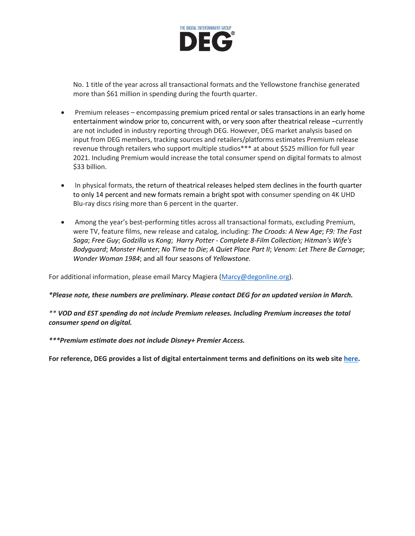

No. 1 title of the year across all transactional formats and the Yellowstone franchise generated more than \$61 million in spending during the fourth quarter.

- Premium releases encompassing premium priced rental or sales transactions in an early home entertainment window prior to, concurrent with, or very soon after theatrical release –currently are not included in industry reporting through DEG. However, DEG market analysis based on input from DEG members, tracking sources and retailers/platforms estimates Premium release revenue through retailers who support multiple studios\*\*\* at about \$525 million for full year 2021. Including Premium would increase the total consumer spend on digital formats to almost \$33 billion.
- In physical formats, the return of theatrical releases helped stem declines in the fourth quarter to only 14 percent and new formats remain a bright spot with consumer spending on 4K UHD Blu-ray discs rising more than 6 percent in the quarter.
- Among the year's best-performing titles across all transactional formats, excluding Premium, were TV, feature films, new release and catalog, including: *The Croods: A New Age*; *F9: The Fast Saga*; *Free Guy*; *Godzilla vs Kong*; *Harry Potter - Complete 8-Film Collection; Hitman's Wife's Bodyguard*; *Monster Hunter*; *No Time to Die*; *A Quiet Place Part II*; *Venom: Let There Be Carnage*; *Wonder Woman 1984*; and all four seasons of *Yellowstone*.

For additional information, please email Marcy Magiera [\(Marcy@degonline.org\)](mailto:Marcy@degonline.org).

*\*Please note, these numbers are preliminary. Please contact DEG for an updated version in March.*

*\*\* VOD and EST spending do not include Premium releases. Including Premium increases the total consumer spend on digital.*

*\*\*\*Premium estimate does not include Disney+ Premier Access.*

**For reference, DEG provides a list of digital entertainment terms and definitions on its web site [here.](https://www.degonline.org/portfolio_page/deg-digital-entertainment-definitions/)**